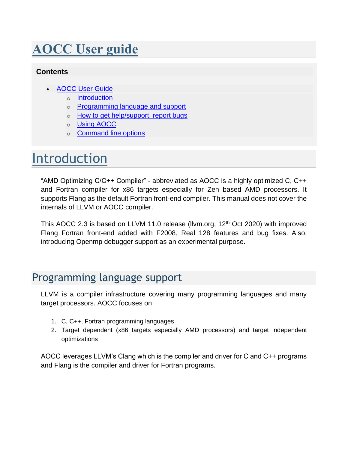# **AOCC User guide**

#### <span id="page-0-0"></span>**Contents**

- [AOCC User](#page-0-0) Guide
	- o [Introduction](#page-0-1)
	- o [Programming language and support](#page-0-2)
	- o [How to get help/support, report bugs](#page-1-0)
	- o [Using AOCC](#page-2-0)
	- o [Command line options](#page-3-0)

# <span id="page-0-1"></span>Introduction

"AMD Optimizing C/C++ Compiler" - abbreviated as AOCC is a highly optimized C, C++ and Fortran compiler for x86 targets especially for Zen based AMD processors. It supports Flang as the default Fortran front-end compiler. This manual does not cover the internals of LLVM or AOCC compiler.

This AOCC 2.3 is based on LLVM 11.0 release (Ilvm.org,  $12<sup>th</sup>$  Oct 2020) with improved Flang Fortran front-end added with F2008, Real 128 features and bug fixes. Also, introducing Openmp debugger support as an experimental purpose.

# <span id="page-0-2"></span>Programming language support

LLVM is a compiler infrastructure covering many programming languages and many target processors. AOCC focuses on

- 1. C, C++, Fortran programming languages
- 2. Target dependent (x86 targets especially AMD processors) and target independent optimizations

AOCC leverages LLVM's Clang which is the compiler and driver for C and C++ programs and Flang is the compiler and driver for Fortran programs.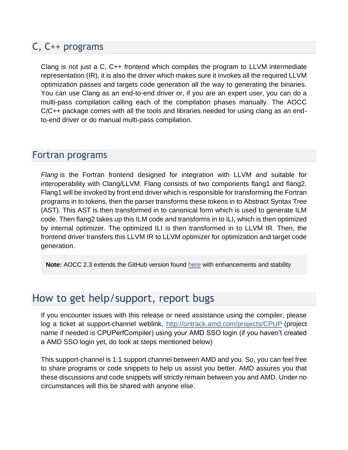### C, C++ programs

Clang is not just a C, C++ frontend which compiles the program to LLVM intermediate representation (IR), it is also the driver which makes sure it invokes all the required LLVM optimization passes and targets code generation all the way to generating the binaries. You can use Clang as an end-to-end driver or, if you are an expert user, you can do a multi-pass compilation calling each of the compilation phases manually. The AOCC C/C++ package comes with all the tools and libraries needed for using clang as an endto-end driver or do manual multi-pass compilation.

### Fortran programs

*Flang* is the Fortran frontend designed for integration with LLVM and suitable for interoperability with Clang/LLVM. Flang consists of two components flang1 and flang2. Flang1 will be invoked by front end driver which is responsible for transforming the Fortran programs in to tokens, then the parser transforms these tokens in to Abstract Syntax Tree (AST). This AST is then transformed in to canonical form which is used to generate ILM code. Then flang2 takes up this ILM code and transforms in to ILI, which is then optimized by internal optimizer. The optimized ILI is then transformed in to LLVM IR. Then, the frontend driver transfers this LLVM IR to LLVM optimizer for optimization and target code generation.

**Note:** AOCC 2.3 extends the GitHub version found [here](https://github.com/flang-compiler/flang.git) with enhancements and stability

# <span id="page-1-0"></span>How to get help/support, report bugs

If you encounter issues with this release or need assistance using the compiler, please log a ticket at support-channel weblink, <http://ontrack.amd.com/projects/CPUP> (project name if needed is CPUPerfCompiler) using your AMD SSO login (if you haven't created a AMD SSO login yet, do look at steps mentioned below)

This support-channel is 1:1 support channel between AMD and you. So, you can feel free to share programs or code snippets to help us assist you better. AMD assures you that these discussions and code snippets will strictly remain between you and AMD. Under no circumstances will this be shared with anyone else.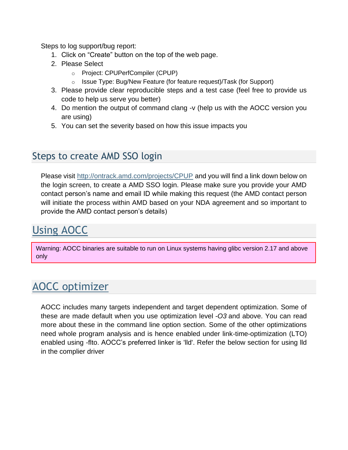Steps to log support/bug report:

- 1. Click on "Create" button on the top of the web page.
- 2. Please Select
	- o Project: CPUPerfCompiler (CPUP)
	- o Issue Type: Bug/New Feature (for feature request)/Task (for Support)
- 3. Please provide clear reproducible steps and a test case (feel free to provide us code to help us serve you better)
- 4. Do mention the output of command clang -v (help us with the AOCC version you are using)
- 5. You can set the severity based on how this issue impacts you

### Steps to create AMD SSO login

Please visit <http://ontrack.amd.com/projects/CPUP> and you will find a link down below on the login screen, to create a AMD SSO login. Please make sure you provide your AMD contact person's name and email ID while making this request (the AMD contact person will initiate the process within AMD based on your NDA agreement and so important to provide the AMD contact person's details)

# Using AOCC

<span id="page-2-0"></span>Warning: AOCC binaries are suitable to run on Linux systems having glibc version 2.17 and above only

# AOCC optimizer

AOCC includes many targets independent and target dependent optimization. Some of these are made default when you use optimization level *-O3* and above. You can read more about these in the command line option section. Some of the other optimizations need whole program analysis and is hence enabled under link-time-optimization (LTO) enabled using -flto. AOCC's preferred linker is 'lld'. Refer the below section for using lld in the complier driver